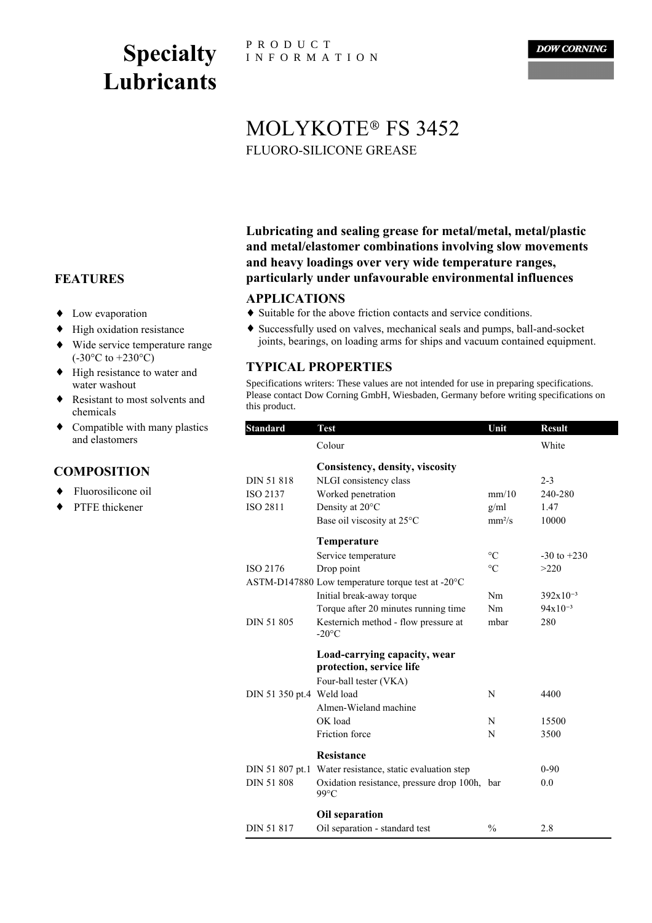# **Specialty Lubricants**

P R O D U C T I N F O R M A T I O N

**DOW CORNING** 

# FLUORO-SILICONE GREASE MOLYKOTE® FS 3452

**Lubricating and sealing grease for metal/metal, metal/plastic and metal/elastomer combinations involving slow movements and heavy loadings over very wide temperature ranges, particularly under unfavourable environmental influences**

#### <sup>2</sup> **APPLICATIONS**

- ♦ Suitable for the above friction contacts and service conditions.
- ♦ Successfully used on valves, mechanical seals and pumps, ball-and-socket joints, bearings, on loading arms for ships and vacuum contained equipment.

#### **TYPICAL PROPERTIES**

Specifications writers: These values are not intended for use in preparing specifications. Please contact Dow Corning GmbH, Wiesbaden, Germany before writing specifications on this product.

| <b>Standard</b>           | <b>Test</b>                                                     | Unit            | <b>Result</b>   |
|---------------------------|-----------------------------------------------------------------|-----------------|-----------------|
|                           | Colour                                                          |                 | White           |
|                           | Consistency, density, viscosity                                 |                 |                 |
| DIN 51 818                | NLGI consistency class                                          |                 | $2 - 3$         |
| ISO 2137                  | Worked penetration                                              | mm/10           | 240-280         |
| ISO 2811                  | Density at 20°C                                                 | g/ml            | 1.47            |
|                           | Base oil viscosity at 25°C                                      | $mm^2/s$        | 10000           |
|                           | Temperature                                                     |                 |                 |
|                           | Service temperature                                             | $\rm ^{\circ}C$ | $-30$ to $+230$ |
| ISO 2176                  | Drop point                                                      | $\rm ^{\circ}C$ | >220            |
|                           | ASTM-D147880 Low temperature torque test at -20°C               |                 |                 |
|                           | Initial break-away torque                                       | Nm              | $392x10^{-3}$   |
|                           | Torque after 20 minutes running time                            | Nm              | $94x10^{-3}$    |
| DIN 51 805                | Kesternich method - flow pressure at<br>$-20^{\circ}$ C         | mbar            | 280             |
|                           | Load-carrying capacity, wear                                    |                 |                 |
|                           | protection, service life                                        |                 |                 |
|                           | Four-ball tester (VKA)                                          |                 |                 |
| DIN 51 350 pt.4 Weld load |                                                                 | N               | 4400            |
|                           | Almen-Wieland machine                                           |                 |                 |
|                           | OK load                                                         | N               | 15500           |
|                           | Friction force                                                  | N               | 3500            |
|                           | Resistance                                                      |                 |                 |
| DIN 51 807 pt.1           | Water resistance, static evaluation step                        |                 | $0 - 90$        |
| <b>DIN 51 808</b>         | Oxidation resistance, pressure drop 100h, bar<br>$99^{\circ}$ C |                 | 0.0             |
|                           | Oil separation                                                  |                 |                 |
| DIN 51 817                | Oil separation - standard test                                  | $\frac{0}{0}$   | 2.8             |

## **FEATURES**

- ♦ Low evaporation
- High oxidation resistance
- Wide service temperature range  $(-30^{\circ}C \text{ to } +230^{\circ}C)$ ♦
- High resistance to water and water washout ♦
- Resistant to most solvents and chemicals ♦
- Compatible with many plastics and elastomers ♦

### **COMPOSITION**

- Fluorosilicone oil
- PTFE thickener